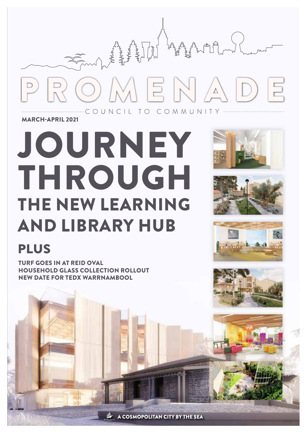

MARCH-APRIL 2021

# JOURNEY THROUGH THE NEW LEARNING AND LIBRARY HUB









# **PLUS**

TURF GOES IN AT REID OVAL HOUSEHOLD GLASS COLLECTION ROLLOUT NEW DATE FOR TEDX WARRNAMBOOL

A COSMOPOLITAN CITY BY THE SEA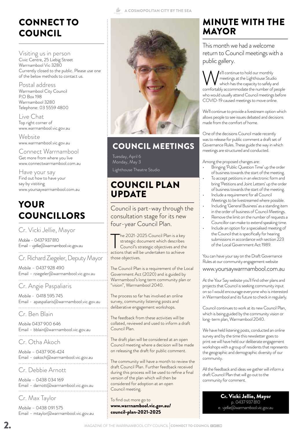## CONNECT TO COUNCIL

Visiting us in person Civic Centre, 25 Liebig Street Warrnambool Vic 3280 Currently closed to the public. Please use one of the below methods to contact us.

Postal address Warrnambool City Council P.O Box 198 Warrnambool 3280 Telephone: 03 5559 4800

Live Chat Top right corner of www.warrnambool.vic.gov.au

**Website** www.warrnambool.vic.gov.au

Connect Warrnambool Get more from where you live www.connectwarrnambool.com.au

Have your say Find out how to have your say by vistiting www.yoursaywarrnambool.com.au

# YOUR COUNCILLORS

Cr. Vicki Jellie, Mayor

Mobile – 0437 937 810 Email – vjellie@warrnambool.vic.gov.au

Cr. Richard Ziegeler, Deputy Mayor

Mobile – 0437 928 490 Email – rziegeler@warrnambool.vic.gov.au 

Cr. Angie Paspaliaris

Mobile - 0418 595 745 Email - apaspaliaris@warrnambool.vic.gov.au

Cr. Ben Blain

Mobile 0437 900 646 Email – bblain@warrnambool.vic.gov.au

Cr. Otha Akoch

Mobile – 0437 906 424 Email – oakoch@warrnambool.vic.gov.au 

Cr. Debbie Arnott

Mobile – 0438 034 169 Email – darnott@warrnambool.vic.gov.au

Cr. Max Taylor

Mobile – 0438 091 575 Email – mtaylor@warrnambool.vic.gov.au





#### COUNCIL MEETINGS

Tuesday, April 6 Monday, May 3 Lighthouse Theatre Studio

#### COUNCIL PLAN UPDATE

Council is part-way through the consultation stage for its new four-year Council Plan.

The 2021-2025 Council Plan is a key<br>strategic document which describes<br>Council's strategic objectives and the<br>actions that will be undertaken to achieve he 2021-2025 Council Plan is a key strategic document which describes Council's strategic objectives and the those objectives.

The Council Plan is a requirement of the Local Government Act (2020) and is guided by Warrnambool's long term community plan or "vision", Warrnambool 2040.

The process so far has involved an online survey, community listening posts and deliberative engagement workshops.

The feedback from these activities will be collated, reviewed and used to inform a draft Council Plan.

The draft plan will be considered at an open Council meeting where a decision will be made on releasing the draft for public comment.

The community will have a month to review the draft Council Plan. Further feedback received during this process will be used to refine a final version of the plan which will then be considered for adoption at an open Council meeting.

To find out more go to www.warrnambool.vic.gov.au/ council-plan-2021-2025

#### MINUTE WITH THE MAYOR

This month we had a welcome return to Council meetings with a public gallery.

We'll continue to hold our monthly<br>
meetings at the Lighthouse Studio<br>
comfortably accommodate the number of people meetings at the Lighthouse Studio which has the capacity to safely and who would usually attend Council meetings before COVID-19 caused meetings to move online.

We'll continue to provide a livestream option which allows people to see issues debated and decisions made from the comfort of home.

One of the decisions Council made recently was to release for public comment a draft set of Governance Rules. These guide the way in which meetings are structured and conducted.

Among the proposed changes are:

- Bringing 'Public Question Time' up the order of business towards the start of the meeting. To accept petitions in an electronic form and
- bring 'Petitions and Joint Letters' up the order of business towards the start of the meeting.
- Include a requirement for all Council
- Meetings to be livestreamed where possible. Including 'General Business' as a standing item in the order of business of Council Meetings.
- Remove the limit on the number of requests a
- Councillor can make to extend speaking time. • Include an option for a specialised meeting of the Council that is specifically for hearing submissions in accordance with section 223 of the Local Government Act 1989.

You can have your say on the Draft Governance Rules at our community engagement website

#### www.yoursaywarrnambool.com.au

At the Your Say website you'll find other plans and projects that Council is seeking community input on so I would encourage everyone who is interested in Warrnambool and its future to check in regularly.

Council continues to work at its new Council Plan, which is being guided by the community vision or long-term plan, Warrnambool 2040.

We have held listening posts, conducted an online survey and by the time this newsletter goes to print we will have held our deliberate engagement workshops with a group of residents that represents the geographic and demographic diversity of our community.

All the feedback and ideas we gather will inform a draft Council Plan that will go out to the community for comment.

> Cr. Vicki Jellie, Mayor p. 0437 937 810 e. vjellie@warrnambool.vic.gov.au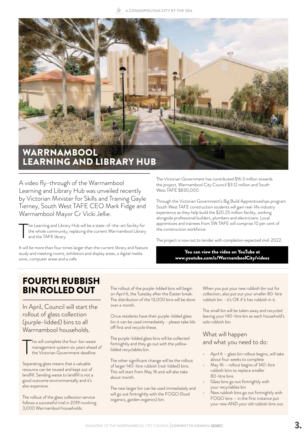A COSMOPOLITAN CITY BY THE SEA



A video fly-through of the Warrnambool Learning and Library Hub was unveiled recently by Victorian Minister for Skills and Training Gayle Tierney, South West TAFE CEO Mark Fidge and Warrnambool Mayor Cr Vicki Jellie.

T he Learning and Library Hub will be a state-of-the-art facility for the whole community, replacing the current Warrnambool Library and the TAFE library.

It will be more than four times larger than the current library and feature study and meeting rooms, exhibition and display areas, a digital media zone, computer areas and a cafe.

The Victorian Government has contributed \$16.3 million towards the project, Warrnambool City Council \$3.12 million and South West TAFE \$830,000.

Through the Victorian Government's Big Build Apprenticeships program South West TAFE construction students will gain real-life industry experience as they help build the \$20.25 million facility, working alongside professional builders, plumbers and electricians. Local apprentices and trainees from SW TAFE will comprise 10 per cent of the construction workforce.

The project is now out to tender with completion expected mid-2022.

You can view the video on YouTube at www.youtube.com/c/WarrnamboolCity/videos

#### FOURTH RUBBISH BIN ROLLED OUT

In April, Council will start the rollout of glass collection (purple-lidded) bins to all Warrnambool households.

T his will complete the four-bin waste management system six years ahead of the Victorian Government deadline.

Separating glass means that a valuable resource can be reused and kept out of landfill. Sending waste to landfill is not a good outcome environmentally and it's also expensive.

The rollout of the glass collection service follows a successful trial in 2019 involving 3,000 Warrnambool households.

The rollout of the purple-lidded bins will begin on April 6, the Tuesday after the Easter break. The distribution of the 13,000 bins will be done over a month.

Once residents have their purple-lidded glass bin it can be used immediately - please take lids off first and recycle these.

The purple-lidded glass bins will be collected fortnightly and they go out with the yellowlidded recyclables bin.

The other significant change will be the rollout of larger 140-litre rubbish (red-lidded) bins. This will start from May 16 and will also take about month.

The new larger bin can be used immediately and will go out fortnightly with the FOGO (food organics, garden organics) bin.

When you put your new rubbish bin out for collection, also put out your smaller 80-litre rubbish bin - it's OK if it has rubbish in it.

The small bin will be taken away and recycled leaving your 140-litre bin as each household's sole rubbish bin.

#### What will happen and what you need to do:

- April 6 glass bin rollout begins, will take about four weeks to complete
- May 16 rollout begins of 140-litre rubbish bins to replace smaller 80-litre bins
- Glass bins go out fortnightly with your recyclables bin
- New rubbish bins go out fortnightly with FOGO bins – in the first instance put your new AND your old rubbish bins out.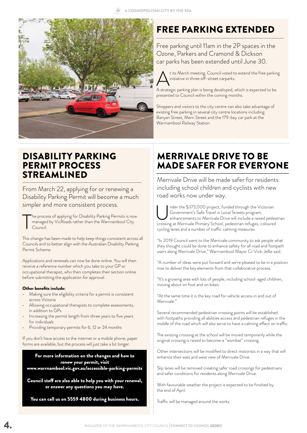

### FREE PARKING EXTENDED

Free parking until 11am in the 2P spaces in the Ozone, Parkers and Cramond & Dickson car parks has been extended until June 30.

t its March meeting, Council voted to extend the free parking initiative in three off-street carparks.

A strategic parking plan is being developed, which is expected to be presented to Council within the coming months.

Shoppers and visitors to the city centre can also take advantage of existing free parking in several city centre locations including Banyan Street, Merri Street and the 179-bay car park at the Warrnambool Railway Station.

#### DISABILITY PARKING PERMIT PROCESS STREAMLINED

From March 22, applying for or renewing a Disability Parking Permit will become a much simpler and more consistent process.

T he process of applying for Disability Parking Permits is now managed by VicRoads rather than the Warrnambool City Council.

This change has been made to help keep things consistent across all Councils and to better align with the Australian Disability Parking Permit Scheme.

Applications and renewals can now be done online. You will then receive a reference number which you take to your GP or occupational therapist, who then completes their section online before submitting the application for approval.

#### Other benefits include:

- Making sure the eligibility criteria for a permit is consistent across Victoria
- Allowing occupational therapists to complete assessments, in addition to GPs
- Increasing the permit length from three years to five years for individuals
- Providing temporary permits for 6, 12 or 24 months

If you don't have access to the internet or a mobile phone, paper forms are available, but the process will just take a bit longer.

For more information on the changes and how to renew your permit, visit www.warrnambool.vic.gov.au/accessible-parking-permits

Council staff are also able to help you with your renewal, or answer any questions you may have.

You can call us on 5559 4800 during business hours.

#### MERRIVALE DRIVE TO BE MADE SAFER FOR EVERYONE

Merrivale Drive will be made safer for residents including school children and cyclists with new road works now under way.

nder the \$373,000 project, funded through the Victorian Government's Safe Travel in Local Streets program, enhancements to Merrivale Drive will include a raised pedestrian crossing at Merrivale Primary School, pedestrian refuges, coloured cycling lanes and a number of traffic calming measures.

"In 2019 Council went to the Merrivale community to ask people what they thought could be done to enhance safety for all road and footpath users along Merrivale Drive," Warrnambool Mayor Cr Vicki Jellie said.

"A number of ideas were put forward and we're pleased to be in a position now to deliver the key elements from that collaborative process.

"It's a growing area with lots of people, including school-aged children, moving about on foot and on bikes.

"At the same time it is the key road for vehicle access in and out of Merrivale."

Several recommended pedestrian crossing points will be established with footpaths providing all abilities access and pedestrian refuges in the middle of the road which will also serve to have a calming effect on traffic.

The existing crossing at the school will be moved temporarily while the original crossing is raised to become a "wombat" crossing.

Other intersections will be modified to direct motorists in a way that will enhance their east and west view of Merrivale Drive.

Slip lanes will be removed creating safer road crossings for pedestrians and safer conditions for residents along Merrivale Drive.

With favourable weather the project is expected to be finished by the end of April.

Traffic will be managed around the works.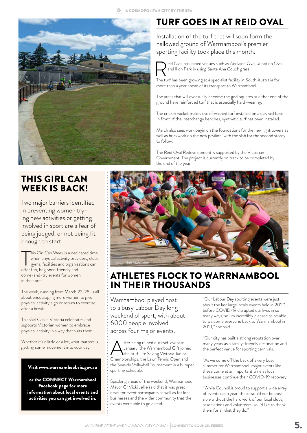A COSMOPOLITAN CITY BY THE SEA



#### THIS GIRL CAN WEEK IS BACK!

Two major barriers identified in preventing women trying new activities or getting involved in sport are a fear of being judged, or not being fit enough to start.

This Girl Can Week is a dedively when physical activity providing and organised of the fun, beginner-friendly and his Girl Can Week is a dedicated time when physical activity providers, clubs, gyms, facilities and organisations can come-and-try events for women in their area.

The week, running from March 22-28, is all about encouraging more women to give physical activity a go or return to exercise after a break.

This Girl Can – Victoria celebrates and supports Victorian women to embrace physical activity in a way that suits them.

Whether it's a little or a lot, what matters is getting some movement into your day.

#### Visit www.warrnambool.vic.gov.au

or the CONNECT Warrnambool Facebook page for more information about local events and activities you can get involved in.

## TURF GOES IN AT REID OVAL

Installation of the turf that will soon form the hallowed ground of Warrnambool's premier sporting facility took place this month.



eid Oval has joined venues such as Adelaide Oval, Junction Oval and Ikon Park in using Santa Ana Couch grass.

The turf has been growing at a specialist facility in South Australia for more than a year ahead of its transport to Warrnambool.

The areas that will eventually become the goal squares at either end of the ground have reinforced turf that is especially hard-wearing.

The cricket wicket makes use of washed turf installed on a clay soil base. In front of the interchange benches, synthetic turf has been installed.

March also sees work begin on the foundations for the new light towers as well as brickwork on the new pavilion, with the slab for the second storey to follow.

The Reid Oval Redevelopment is supported by the Victorian Government. The project is currently on track to be completed by the end of the year.



#### ATHLETES FLOCK TO WARRNAMBOOL IN THEIR THOUSANDS

Warrnambool played host to a busy Labour Day long weekend of sport, with about 6000 people involved across four major events.

After being rained out mid-event in<br>
the Surf Life Saving Victoria Junior<br>
Championships the Lawn Tennis Open and January, the Warrnambool Gift joined Championships, the Lawn Tennis Open and the Seaside Volleyball Tournament in a bumper sporting schedule.

Speaking ahead of the weekend, Warrnambool Mayor Cr Vicki Jellie said that it was great news for event participants as well as for local businesses and the wider community that the events were able to go ahead.

"Our Labour Day sporting events were just about the last large-scale events held in 2020 before COVID-19 disrupted our lives in so many ways, so I'm incredibly pleased to be able to welcome everyone back to Warrnambool in 2021," she said.

"Our city has built a strong reputation over many years as a family-friendly destination and the perfect venue for sporting carnivals.

"As we come off the back of a very busy summer for Warrnambool, major events like these come at an important time as local businesses continue their COVID-19 recovery.

"While Council is proud to support a wide array of events each year, these would not be possible without the hard work of our local clubs, associations and volunteers, so I'd like to thank them for all that they do.'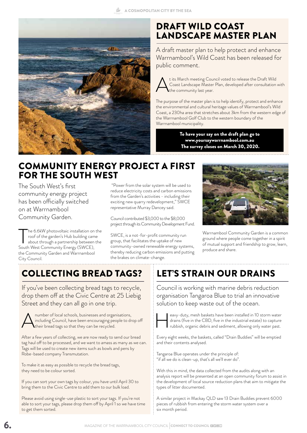A COSMOPOLITAN CITY BY THE SEA



#### DRAFT WILD COAST LANDSCAPE MASTER PLAN

A draft master plan to help protect and enhance Warrnambool's Wild Coast has been released for public comment.

t its March meeting Council voted to release the Draft Wild<br>Coast Landscape Master Plan, developed after consultation<br>the community last year. Coast Landscape Master Plan, developed after consultation with the community last year.

The purpose of the master plan is to help identify, protect and enhance the environmental and cultural heritage values of Warrnambool's Wild Coast, a 230ha area that stretches about 3km from the western edge of the Warrnambool Golf Club to the western boundary of the Warrnambool municipality.

> To have your say on the draft plan go to www.yoursaywarrnambool.com.au The survey closes on March 30, 2020.

#### COMMUNITY ENERGY PROJECT A FIRST FOR THE SOUTH WEST

The South West's first community energy project has been officially switched on at Warrnambool Community Garden.

The 6.6kW photovoltaic installation on<br>roof of the garden's Hub building cam<br>about through a partnership between<br>South West Community Energy (SWCE), he 6.6kW photovoltaic installation on the roof of the garden's Hub building came about through a partnership between the the Community Garden and Warrnambool City Council.

 "Power from the solar system will be used to reduce electricity costs and carbon emissions from the Garden's activities - including their exciting new quarry redevelopment," SWCE representative Murray Dancey said.

Council contributed \$3,000 to the \$8,000 project through its Community Development Fund.

SWCE, is a not-for-profit community run group, that facilitates the uptake of new community-owned renewable energy systems, thereby reducing carbon emissions and putting the brakes on climate-change.



Warrnambool Community Garden is a common ground where people come together in a spirit of mutual support and friendship to grow, learn, produce and share.

# COLLECTING BREAD TAGS?

If you've been collecting bread tags to recycle, drop them off at the Civic Centre at 25 Liebig Street and they can all go in one trip.



A number of local schools, businesses and organisations,<br>including Council, have been encouraging people to dr<br>their bread tags so that they can be recycled. including Council, have been encouraging people to drop off their bread tags so that they can be recycled.

After a few years of collecting, we are now ready to send our bread tag haul off to be processed, and we want to amass as many as we can. Tags will be used to create new items such as bowls and pens by Robe-based company Transmutation.

To make it as easy as possible to recycle the bread tags, they need to be colour sorted.

If you can sort your own tags by colour, you have until April 30 to bring them to the Civic Centre to add them to our bulk load.

Please avoid using single-use plastic to sort your tags. If you're not able to sort your tags, please drop them off by April 1 so we have time to get them sorted.

# LET'S STRAIN OUR DRAINS

Council is working with marine debris reduction organisation Tangaroa Blue to trial an innovative solution to keep waste out of the ocean.



eavy-duty, mesh baskets have been installed in 10 storm water<br>drains (five in the CBD, five in the industrial estate) to capture<br>rubbish, organic debris and sediment, allowing only water past. drains (five in the CBD, five in the industrial estate) to capture

Every eight weeks, the baskets, called "Drain Buddies" will be emptied and their contents analysed.

Tangaroa Blue operates under the principle of: "if all we do is clean-up, that's all we'll ever do".

With this in mind, the data collected from the audits along with an analysis report will be presented at an open community forum to assist in the development of local source reduction plans that aim to mitigate the types of litter documented.

A similar project in Mackay QLD saw 13 Drain Buddies prevent 6000 pieces of rubbish from entering the storm water system over a six month period.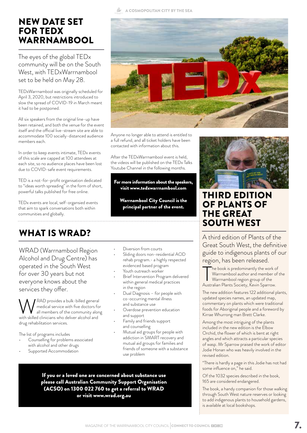#### NEW DATE SET FOR TEDX WARRNAMBOOL

The eyes of the global TEDx community will be on the South West, with TEDxWarrnambool set to be held on May 28.

TEDxWarrnambool was originally scheduled for April 3, 2020, but restrictions introduced to slow the spread of COVID-19 in March meant it had to be postponed.

All six speakers from the original line-up have been retained, and both the venue for the event itself and the official live-stream site are able to accommodate 100 socially-distanced audience members each.

In order to keep events intimate, TEDx events of this scale are capped at 100 attendees at each site, so no audience places have been lost due to COVID-safe event requirements.

TED is a not-for-profit organisation dedicated to "ideas worth spreading" in the form of short, powerful talks published for free online.

TEDx events are local, self-organsied events that aim to spark conversations both within communities and globally.

## WHAT IS WRAD?

WRAD (Warrnambool Region Alcohol and Drug Centre) has operated in the South West for over 30 years but not everyone knows about the services they offer.

WWRAD provides a bulk-billed general<br>
all members of the community along<br>
with skilled clinicians who deliver alcohol and medical service with five doctors for with skilled clinicians who deliver alcohol and drug rehabilitation services.

The list of programs includes

- Counselling for problems associated with alcohol and other drugs
- Supported Accommodation

A COSMOPOLITAN CITY BY THE SEA



Anyone no longer able to attend is entitled to a full refund, and all ticket holders have been contacted with information about this.

After the TEDxWarrnambool event is held, the videos will be published on the TEDx Talks Youtube Channel in the following months.

For more information about the speakers, visit www.tedxwarrnambool.com

Warrnambool City Council is the principal partner of the event.

• Diversion from courts

- Sliding doors non-residential AOD rehab program.- a highly respected evidenced based program
- Youth outreach worker
- Brief Intervention Program delivered within general medical practices in the region
- Dual Diagnosis for people with co-occurring mental illness and substance use
- Overdose prevention education and support
- Family and friends support and counselling
- Mutual aid groups for people with addiction in SMART recovery and mutual aid groups for families and friends of someone with a substance use problem

If you or a loved one are concerned about substance use please call Australian Community Support Organisation (ACSO) on 1300 022 760 to get a referral to WRAD or visit www.wrad.org.au



#### THIRD EDITION OF PLANTS OF THE GREAT SOUTH WEST

A third edition of Plants of the Great South West, the definitive guide to indigenous plants of our region, has been released.

The book is predominantly the work of<br>Warrnambool author and member c<br>Warrnambool region group of the<br>Australian Plants Society, Kevin Sparrow. he book is predominantly the work of Warrnambool author and member of the Warrnambool region group of the

The new addition features 122 additional plants, updated species names, an updated map, commentary on plants which were traditional foods for Aboriginal people and a foreword by Kirrae Whurrong man Brett Clarke.

Among the most intriguing of the plants included in the new edition is the Elbow Orchid, the flower of which is bent at right angles and which attracts a particular species of wasp. Mr Sparrow praised the work of editor Jodie Honan who was heavily involved in the revised edition.

"There is hardly a page in this Jodie has not had some influence on," he said.

Of the 1032 species described in the book, 165 are considered endangered.

The book, a handy companion for those walking through South West nature reserves or looking to add indigenous plants to household gardens, is available at local bookshops.